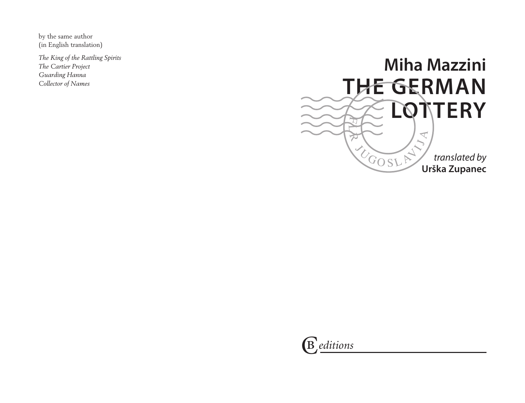by the same author (in English translation)

*The King of the Rattling Spirits The Cartier Project Guarding Hanna Collector of Names*



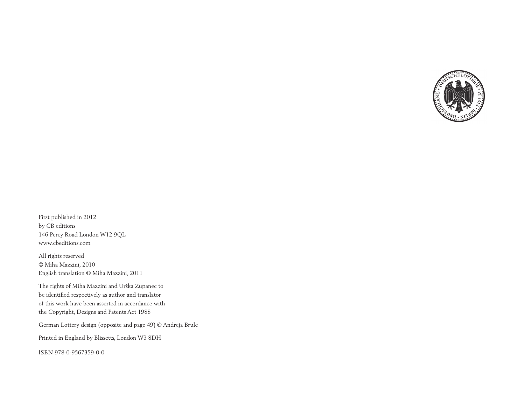

First published in 2012 by CB editions 146 Percy Road London W12 9QL www.cbeditions.com

All rights reserved © Miha Mazzini, 2010 English translation © Miha Mazzini, 2011

The rights of Miha Mazzini and Urška Zupanec to be identified respectively as author and translator of this work have been asserted in accordance with the Copyright, Designs and Patents Act 1988

German Lottery design (opposite and page 49) © Andreja Brulc

Printed in England by Blissetts, London W3 8DH

ISBN 978-0-9567359-0-0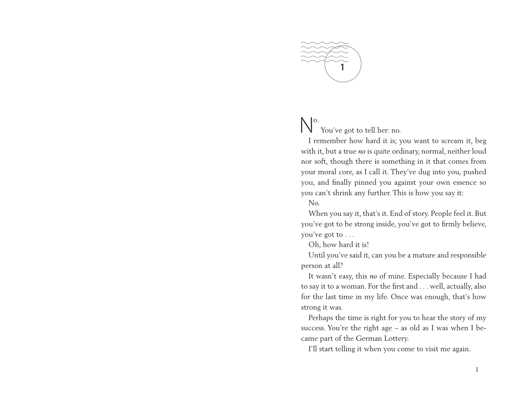

## No. You've got to tell her: no.

I remember how hard it is; you want to scream it, beg with it, but a true *no* is quite ordinary, normal, neither loud nor soft, though there is something in it that comes from your moral core, as I call it. They've dug into you, pushed you, and finally pinned you against your own essence so you can't shrink any further. This is how you say it:

No.

When you say it, that's it. End of story. People feel it. But you've got to be strong inside, you've got to firmly believe, you've got to . . .

Oh, how hard it is!

Until you've said it, can you be a mature and responsible person at all?

It wasn't easy, this *no* of mine. Especially because I had to say it to a woman. For the first and . . . well, actually, also for the last time in my life. Once was enough, that's how strong it was.

Perhaps the time is right for you to hear the story of my success. You're the right age – as old as I was when I became part of the German Lottery.

I'll start telling it when you come to visit me again.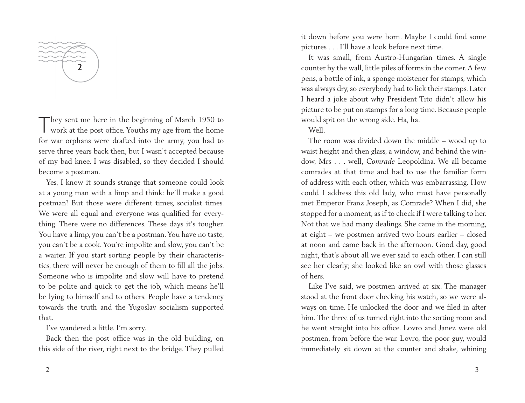**2**

T hey sent me here in the beginning of March 1950 to work at the post office. Youths my age from the home for war orphans were drafted into the army, you had to serve three years back then, but I wasn't accepted because of my bad knee. I was disabled, so they decided I should become a postman.

Yes, I know it sounds strange that someone could look at a young man with a limp and think: he'll make a good postman! But those were different times, socialist times. We were all equal and everyone was qualified for everything. There were no differences. These days it's tougher. You have a limp, you can't be a postman. You have no taste, you can't be a cook. You're impolite and slow, you can't be a waiter. If you start sorting people by their characteristics, there will never be enough of them to fill all the jobs. Someone who is impolite and slow will have to pretend to be polite and quick to get the job, which means he'll be lying to himself and to others. People have a tendency towards the truth and the Yugoslav socialism supported that.

I've wandered a little. I'm sorry.

Back then the post office was in the old building, on this side of the river, right next to the bridge. They pulled it down before you were born. Maybe I could find some pictures . . . I'll have a look before next time.

It was small, from Austro-Hungarian times. A single counter by the wall, little piles of forms in the corner. A few pens, a bottle of ink, a sponge moistener for stamps, which was always dry, so everybody had to lick their stamps. Later I heard a joke about why President Tito didn't allow his picture to be put on stamps for a long time. Because people would spit on the wrong side. Ha, ha.

Well.

The room was divided down the middle – wood up to waist height and then glass, a window, and behind the window, Mrs . . . well, *Comrade* Leopoldina. We all became comrades at that time and had to use the familiar form of address with each other, which was embarrassing. How could I address this old lady, who must have personally met Emperor Franz Joseph, as Comrade? When I did, she stopped for a moment, as if to check if I were talking to her. Not that we had many dealings. She came in the morning, at eight – we postmen arrived two hours earlier – closed at noon and came back in the afternoon. Good day, good night, that's about all we ever said to each other. I can still see her clearly; she looked like an owl with those glasses of hers.

Like I've said, we postmen arrived at six. The manager stood at the front door checking his watch, so we were always on time. He unlocked the door and we filed in after him. The three of us turned right into the sorting room and he went straight into his office. Lovro and Janez were old postmen, from before the war. Lovro, the poor guy, would immediately sit down at the counter and shake, whining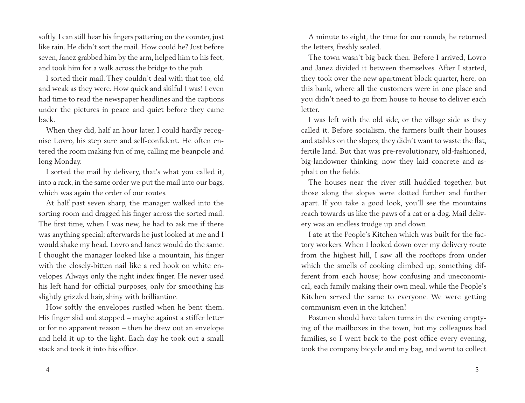softly. I can still hear his fingers pattering on the counter, just like rain. He didn't sort the mail. How could he? Just before seven, Janez grabbed him by the arm, helped him to his feet, and took him for a walk across the bridge to the pub.

I sorted their mail. They couldn't deal with that too, old and weak as they were. How quick and skilful I was! I even had time to read the newspaper headlines and the captions under the pictures in peace and quiet before they came back.

When they did, half an hour later, I could hardly recognise Lovro, his step sure and self-confident. He often entered the room making fun of me, calling me beanpole and long Monday.

I sorted the mail by delivery, that's what you called it, into a rack, in the same order we put the mail into our bags, which was again the order of our routes.

At half past seven sharp, the manager walked into the sorting room and dragged his finger across the sorted mail. The first time, when I was new, he had to ask me if there was anything special; afterwards he just looked at me and I would shake my head. Lovro and Janez would do the same. I thought the manager looked like a mountain, his finger with the closely-bitten nail like a red hook on white envelopes. Always only the right index finger. He never used his left hand for official purposes, only for smoothing his slightly grizzled hair, shiny with brilliantine.

How softly the envelopes rustled when he bent them. His finger slid and stopped – maybe against a stiffer letter or for no apparent reason – then he drew out an envelope and held it up to the light. Each day he took out a small stack and took it into his office.

A minute to eight, the time for our rounds, he returned the letters, freshly sealed.

The town wasn't big back then. Before I arrived, Lovro and Janez divided it between themselves. After I started, they took over the new apartment block quarter, here, on this bank, where all the customers were in one place and you didn't need to go from house to house to deliver each letter.

I was left with the old side, or the village side as they called it. Before socialism, the farmers built their houses and stables on the slopes; they didn't want to waste the flat, fertile land. But that was pre-revolutionary, old-fashioned, big-landowner thinking; now they laid concrete and asphalt on the fields.

The houses near the river still huddled together, but those along the slopes were dotted further and further apart. If you take a good look, you'll see the mountains reach towards us like the paws of a cat or a dog. Mail delivery was an endless trudge up and down.

I ate at the People's Kitchen which was built for the factory workers. When I looked down over my delivery route from the highest hill, I saw all the rooftops from under which the smells of cooking climbed up, something different from each house; how confusing and uneconomical, each family making their own meal, while the People's Kitchen served the same to everyone. We were getting communism even in the kitchen!

Postmen should have taken turns in the evening emptying of the mailboxes in the town, but my colleagues had families, so I went back to the post office every evening, took the company bicycle and my bag, and went to collect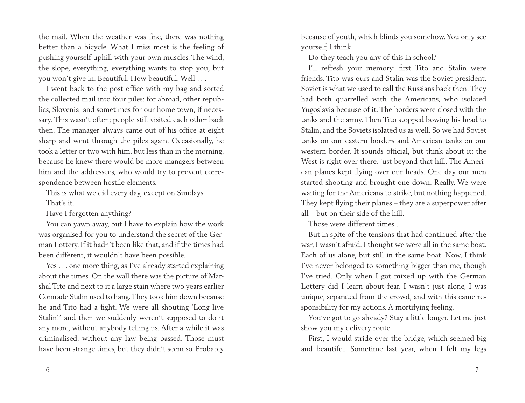the mail. When the weather was fine, there was nothing better than a bicycle. What I miss most is the feeling of pushing yourself uphill with your own muscles. The wind, the slope, everything, everything wants to stop you, but you won't give in. Beautiful. How beautiful. Well . . .

I went back to the post office with my bag and sorted the collected mail into four piles: for abroad, other republics, Slovenia, and sometimes for our home town, if necessary. This wasn't often; people still visited each other back then. The manager always came out of his office at eight sharp and went through the piles again. Occasionally, he took a letter or two with him, but less than in the morning, because he knew there would be more managers between him and the addressees, who would try to prevent correspondence between hostile elements.

This is what we did every day, except on Sundays. That's it.

Have I forgotten anything?

You can yawn away, but I have to explain how the work was organised for you to understand the secret of the German Lottery. If it hadn't been like that, and if the times had been different, it wouldn't have been possible.

Yes . . . one more thing, as I've already started explaining about the times. On the wall there was the picture of Marshal Tito and next to it a large stain where two years earlier Comrade Stalin used to hang. They took him down because he and Tito had a fight. We were all shouting 'Long live Stalin!' and then we suddenly weren't supposed to do it any more, without anybody telling us. After a while it was criminalised, without any law being passed. Those must have been strange times, but they didn't seem so. Probably

because of youth, which blinds you somehow. You only see yourself, I think.

Do they teach you any of this in school?

I'll refresh your memory: first Tito and Stalin were friends. Tito was ours and Stalin was the Soviet president. Soviet is what we used to call the Russians back then. They had both quarrelled with the Americans, who isolated Yugoslavia because of it. The borders were closed with the tanks and the army. Then Tito stopped bowing his head to Stalin, and the Soviets isolated us as well. So we had Soviet tanks on our eastern borders and American tanks on our western border. It sounds official, but think about it; the West is right over there, just beyond that hill. The American planes kept flying over our heads. One day our men started shooting and brought one down. Really. We were waiting for the Americans to strike, but nothing happened. They kept flying their planes – they are a superpower after all – but on their side of the hill.

Those were different times

But in spite of the tensions that had continued after the war, I wasn't afraid. I thought we were all in the same boat. Each of us alone, but still in the same boat. Now, I think I've never belonged to something bigger than me, though I've tried. Only when I got mixed up with the German Lottery did I learn about fear. I wasn't just alone, I was unique, separated from the crowd, and with this came responsibility for my actions. A mortifying feeling.

You've got to go already? Stay a little longer. Let me just show you my delivery route.

First, I would stride over the bridge, which seemed big and beautiful. Sometime last year, when I felt my legs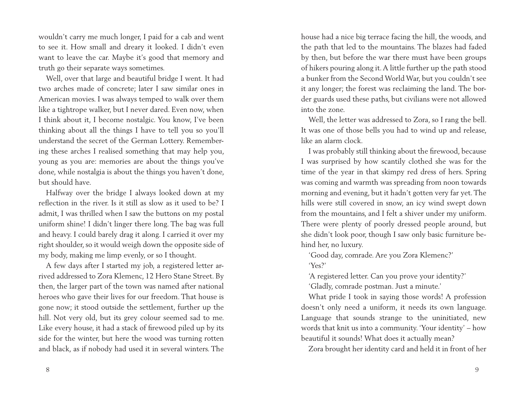wouldn't carry me much longer, I paid for a cab and went to see it. How small and dreary it looked. I didn't even want to leave the car. Maybe it's good that memory and truth go their separate ways sometimes.

Well, over that large and beautiful bridge I went. It had two arches made of concrete; later I saw similar ones in American movies. I was always temped to walk over them like a tightrope walker, but I never dared. Even now, when I think about it, I become nostalgic. You know, I've been thinking about all the things I have to tell you so you'll understand the secret of the German Lottery. Remembering these arches I realised something that may help you, young as you are: memories are about the things you've done, while nostalgia is about the things you haven't done, but should have.

Halfway over the bridge I always looked down at my reflection in the river. Is it still as slow as it used to be? I admit, I was thrilled when I saw the buttons on my postal uniform shine! I didn't linger there long. The bag was full and heavy. I could barely drag it along. I carried it over my right shoulder, so it would weigh down the opposite side of my body, making me limp evenly, or so I thought.

A few days after I started my job, a registered letter arrived addressed to Zora Klemenc, 12 Hero Stane Street. By then, the larger part of the town was named after national heroes who gave their lives for our freedom. That house is gone now; it stood outside the settlement, further up the hill. Not very old, but its grey colour seemed sad to me. Like every house, it had a stack of firewood piled up by its side for the winter, but here the wood was turning rotten and black, as if nobody had used it in several winters. The house had a nice big terrace facing the hill, the woods, and the path that led to the mountains. The blazes had faded by then, but before the war there must have been groups of hikers pouring along it. A little further up the path stood a bunker from the Second World War, but you couldn't see it any longer; the forest was reclaiming the land. The border guards used these paths, but civilians were not allowed into the zone.

Well, the letter was addressed to Zora, so I rang the bell. It was one of those bells you had to wind up and release, like an alarm clock.

I was probably still thinking about the firewood, because I was surprised by how scantily clothed she was for the time of the year in that skimpy red dress of hers. Spring was coming and warmth was spreading from noon towards morning and evening, but it hadn't gotten very far yet. The hills were still covered in snow, an icy wind swept down from the mountains, and I felt a shiver under my uniform. There were plenty of poorly dressed people around, but she didn't look poor, though I saw only basic furniture behind her, no luxury.

'Good day, comrade. Are you Zora Klemenc?' 'Yes?'

'A registered letter. Can you prove your identity?' 'Gladly, comrade postman. Just a minute.'

What pride I took in saying those words! A profession doesn't only need a uniform, it needs its own language. Language that sounds strange to the uninitiated, new words that knit us into a community. 'Your identity' – how beautiful it sounds! What does it actually mean?

Zora brought her identity card and held it in front of her